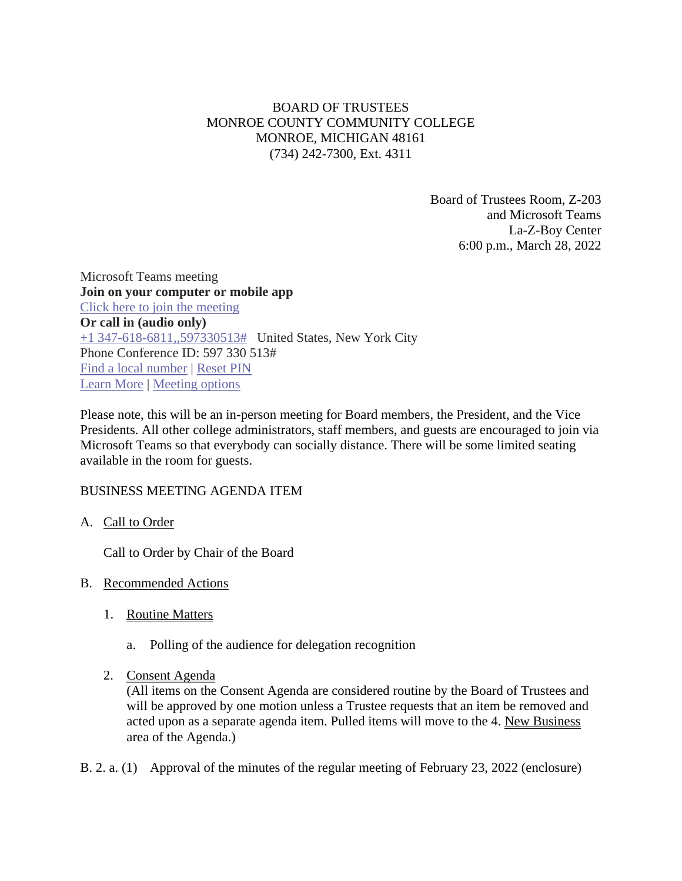## BOARD OF TRUSTEES MONROE COUNTY COMMUNITY COLLEGE MONROE, MICHIGAN 48161 (734) 242-7300, Ext. 4311

Board of Trustees Room, Z-203 and Microsoft Teams La-Z-Boy Center 6:00 p.m., March 28, 2022

Microsoft Teams meeting **Join on your computer or mobile app**  [Click here to join the meeting](https://teams.microsoft.com/l/meetup-join/19%3ameeting_NDVhYjgwZDQtMGEzYy00ZGRmLThlNDgtOGZjOTUxNGEwYjhj%40thread.v2/0?context=%7b%22Tid%22%3a%2276f58c37-4ccb-4953-8754-48d3ac2857e6%22%2c%22Oid%22%3a%22cfa62792-2f83-486c-8009-c76a92253031%22%7d) **Or call in (audio only)** [+1 347-618-6811,,597330513#](tel:+13476186811,,597330513# ) United States, New York City Phone Conference ID: 597 330 513# [Find a local number](https://dialin.teams.microsoft.com/0a5b3283-82d4-44a2-a3da-3e0ac96718dd?id=597330513) | [Reset PIN](https://mysettings.lync.com/pstnconferencing) [Learn More](https://aka.ms/JoinTeamsMeeting) | [Meeting options](https://teams.microsoft.com/meetingOptions/?organizerId=cfa62792-2f83-486c-8009-c76a92253031&tenantId=76f58c37-4ccb-4953-8754-48d3ac2857e6&threadId=19_meeting_NDVhYjgwZDQtMGEzYy00ZGRmLThlNDgtOGZjOTUxNGEwYjhj@thread.v2&messageId=0&language=en-US)

Please note, this will be an in-person meeting for Board members, the President, and the Vice Presidents. All other college administrators, staff members, and guests are encouraged to join via Microsoft Teams so that everybody can socially distance. There will be some limited seating available in the room for guests.

## BUSINESS MEETING AGENDA ITEM

A. Call to Order

Call to Order by Chair of the Board

- B. Recommended Actions
	- 1. Routine Matters
		- a. Polling of the audience for delegation recognition
	- 2. Consent Agenda

(All items on the Consent Agenda are considered routine by the Board of Trustees and will be approved by one motion unless a Trustee requests that an item be removed and acted upon as a separate agenda item. Pulled items will move to the 4. New Business area of the Agenda.)

B. 2. a. (1) Approval of the minutes of the regular meeting of February 23, 2022 (enclosure)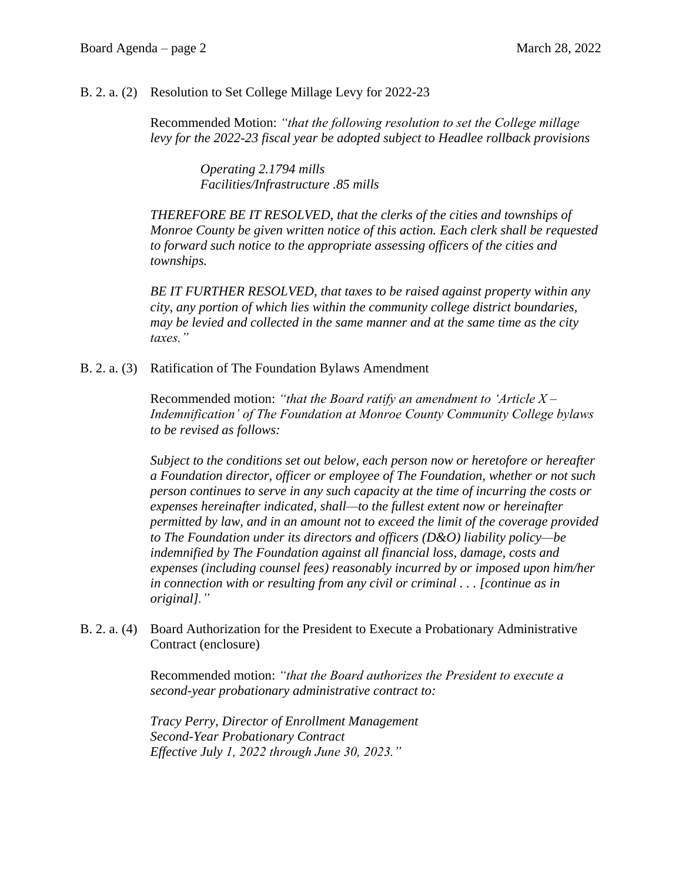## B. 2. a. (2) Resolution to Set College Millage Levy for 2022-23

Recommended Motion: *"that the following resolution to set the College millage levy for the 2022-23 fiscal year be adopted subject to Headlee rollback provisions* 

> *Operating 2.1794 mills Facilities/Infrastructure .85 mills*

*THEREFORE BE IT RESOLVED, that the clerks of the cities and townships of Monroe County be given written notice of this action. Each clerk shall be requested to forward such notice to the appropriate assessing officers of the cities and townships.* 

*BE IT FURTHER RESOLVED, that taxes to be raised against property within any city, any portion of which lies within the community college district boundaries, may be levied and collected in the same manner and at the same time as the city taxes."*

B. 2. a. (3) Ratification of The Foundation Bylaws Amendment

Recommended motion: *"that the Board ratify an amendment to 'Article X – Indemnification' of The Foundation at Monroe County Community College bylaws to be revised as follows:*

*Subject to the conditions set out below, each person now or heretofore or hereafter a Foundation director, officer or employee of The Foundation, whether or not such person continues to serve in any such capacity at the time of incurring the costs or expenses hereinafter indicated, shall—to the fullest extent now or hereinafter permitted by law, and in an amount not to exceed the limit of the coverage provided to The Foundation under its directors and officers (D&O) liability policy—be indemnified by The Foundation against all financial loss, damage, costs and expenses (including counsel fees) reasonably incurred by or imposed upon him/her in connection with or resulting from any civil or criminal . . . [continue as in original]."*

B. 2. a. (4) Board Authorization for the President to Execute a Probationary Administrative Contract (enclosure)

> Recommended motion: *"that the Board authorizes the President to execute a second-year probationary administrative contract to:*

*Tracy Perry, Director of Enrollment Management Second-Year Probationary Contract Effective July 1, 2022 through June 30, 2023."*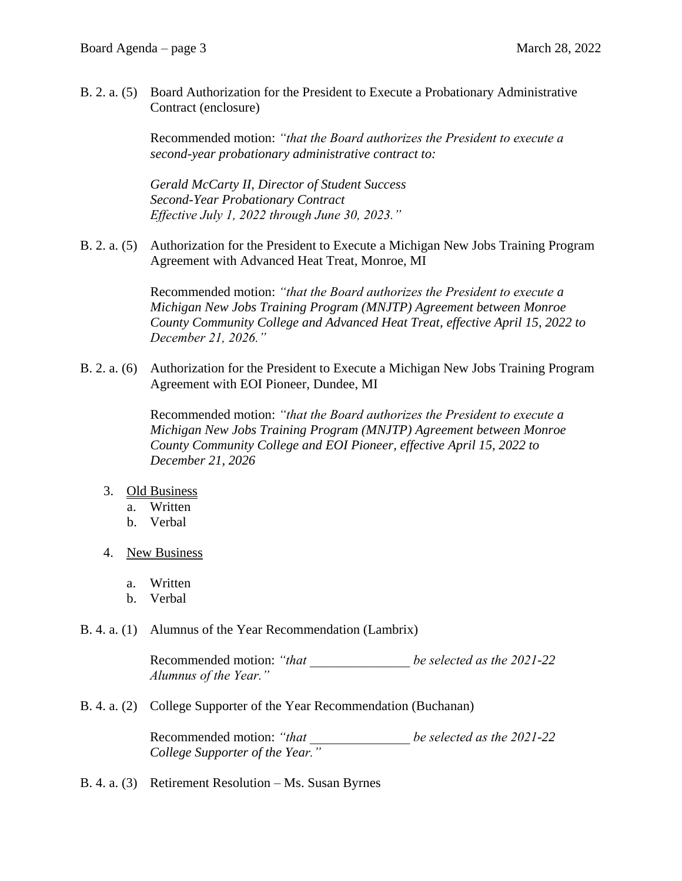B. 2. a. (5) Board Authorization for the President to Execute a Probationary Administrative Contract (enclosure)

> Recommended motion: *"that the Board authorizes the President to execute a second-year probationary administrative contract to:*

*Gerald McCarty II, Director of Student Success Second-Year Probationary Contract Effective July 1, 2022 through June 30, 2023."*

B. 2. a. (5) Authorization for the President to Execute a Michigan New Jobs Training Program Agreement with Advanced Heat Treat, Monroe, MI

> Recommended motion: *"that the Board authorizes the President to execute a Michigan New Jobs Training Program (MNJTP) Agreement between Monroe County Community College and Advanced Heat Treat, effective April 15, 2022 to December 21, 2026."*

B. 2. a. (6) Authorization for the President to Execute a Michigan New Jobs Training Program Agreement with EOI Pioneer, Dundee, MI

> Recommended motion: *"that the Board authorizes the President to execute a Michigan New Jobs Training Program (MNJTP) Agreement between Monroe County Community College and EOI Pioneer, effective April 15, 2022 to December 21, 2026*

- 3. Old Business
	- a. Written
	- b. Verbal
- 4. New Business
	- a. Written
	- b. Verbal
- B. 4. a. (1) Alumnus of the Year Recommendation (Lambrix)

Recommended motion: *"that be selected as the 2021-22 Alumnus of the Year."*

B. 4. a. (2) College Supporter of the Year Recommendation (Buchanan)

Recommended motion: *"that be selected as the 2021-22 College Supporter of the Year."*

B. 4. a. (3) Retirement Resolution – Ms. Susan Byrnes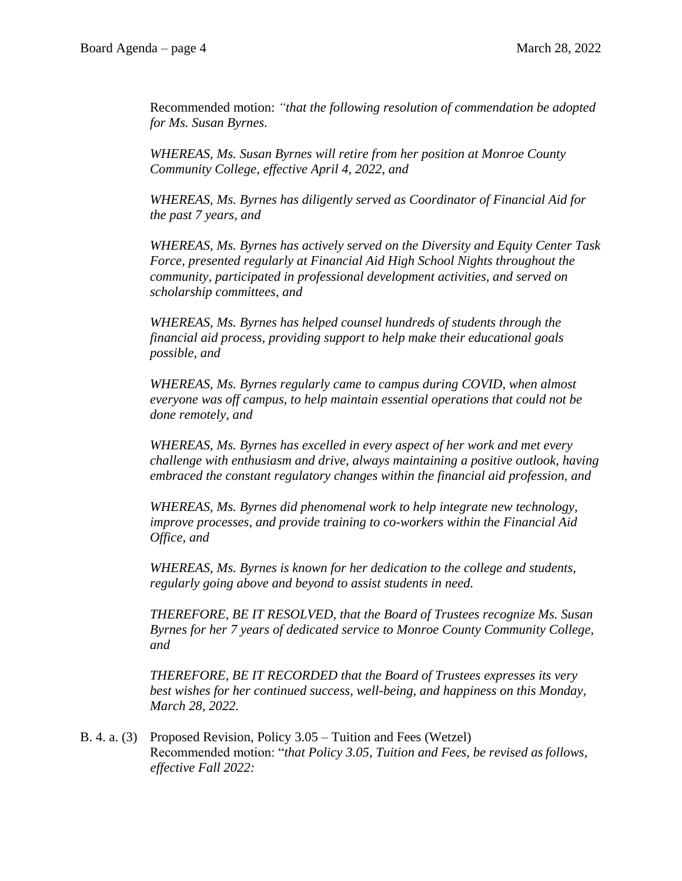Recommended motion: *"that the following resolution of commendation be adopted for Ms. Susan Byrnes.*

*WHEREAS, Ms. Susan Byrnes will retire from her position at Monroe County Community College, effective April 4, 2022, and*

*WHEREAS, Ms. Byrnes has diligently served as Coordinator of Financial Aid for the past 7 years, and*

*WHEREAS, Ms. Byrnes has actively served on the Diversity and Equity Center Task Force, presented regularly at Financial Aid High School Nights throughout the community, participated in professional development activities, and served on scholarship committees, and* 

*WHEREAS, Ms. Byrnes has helped counsel hundreds of students through the financial aid process, providing support to help make their educational goals possible, and* 

*WHEREAS, Ms. Byrnes regularly came to campus during COVID, when almost everyone was off campus, to help maintain essential operations that could not be done remotely, and*

*WHEREAS, Ms. Byrnes has excelled in every aspect of her work and met every challenge with enthusiasm and drive, always maintaining a positive outlook, having embraced the constant regulatory changes within the financial aid profession, and*

*WHEREAS, Ms. Byrnes did phenomenal work to help integrate new technology, improve processes, and provide training to co-workers within the Financial Aid Office, and*

*WHEREAS, Ms. Byrnes is known for her dedication to the college and students, regularly going above and beyond to assist students in need.*

*THEREFORE, BE IT RESOLVED, that the Board of Trustees recognize Ms. Susan Byrnes for her 7 years of dedicated service to Monroe County Community College, and*

*THEREFORE, BE IT RECORDED that the Board of Trustees expresses its very best wishes for her continued success, well-being, and happiness on this Monday, March 28, 2022.*

B. 4. a. (3) Proposed Revision, Policy 3.05 – Tuition and Fees (Wetzel) Recommended motion: "*that Policy 3.05, Tuition and Fees, be revised as follows, effective Fall 2022:*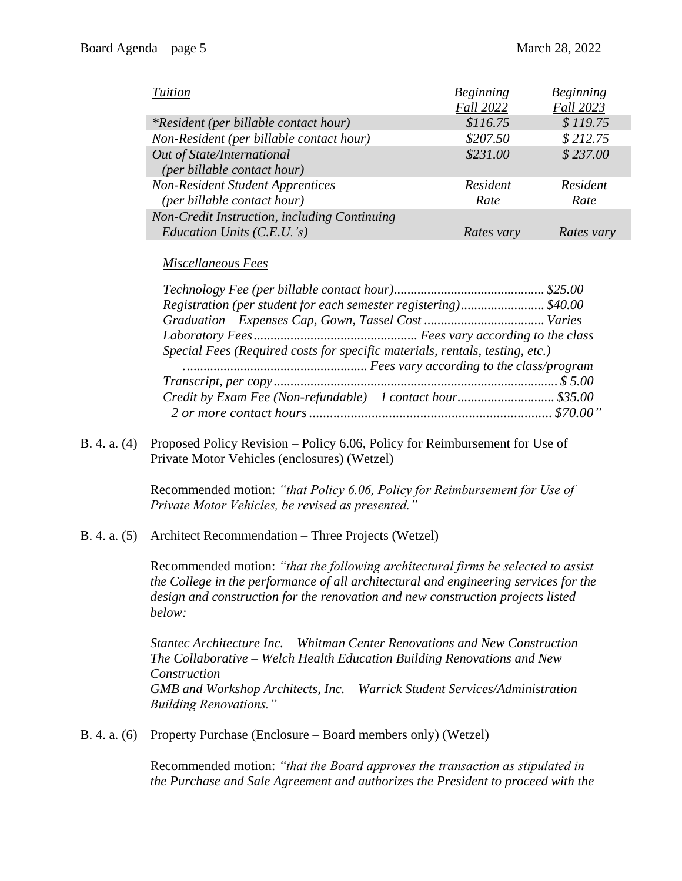| <b>Tuition</b>                               | <b>Beginning</b> | <b>Beginning</b> |
|----------------------------------------------|------------------|------------------|
|                                              | <b>Fall 2022</b> | Fall 2023        |
| <i>*Resident (per billable contact hour)</i> | \$116.75         | \$119.75         |
| Non-Resident (per billable contact hour)     | \$207.50         | \$212.75         |
| Out of State/International                   | \$231.00         | \$237.00         |
| (per billable contact hour)                  |                  |                  |
| <b>Non-Resident Student Apprentices</b>      | Resident         | Resident         |
| (per billable contact hour)                  | Rate             | Rate             |
| Non-Credit Instruction, including Continuing |                  |                  |
| Education Units $(C.E.U.'s)$                 | Rates vary       | Rates vary       |

*Miscellaneous Fees*

| Registration (per student for each semester registering)\$40.00              |  |
|------------------------------------------------------------------------------|--|
|                                                                              |  |
|                                                                              |  |
| Special Fees (Required costs for specific materials, rentals, testing, etc.) |  |
|                                                                              |  |
|                                                                              |  |
| Credit by Exam Fee (Non-refundable) $-1$ contact hour\$35.00                 |  |
|                                                                              |  |

B. 4. a. (4) Proposed Policy Revision – Policy 6.06, Policy for Reimbursement for Use of Private Motor Vehicles (enclosures) (Wetzel)

> Recommended motion: *"that Policy 6.06, Policy for Reimbursement for Use of Private Motor Vehicles, be revised as presented."*

B. 4. a. (5) Architect Recommendation – Three Projects (Wetzel)

Recommended motion: *"that the following architectural firms be selected to assist the College in the performance of all architectural and engineering services for the design and construction for the renovation and new construction projects listed below:*

*Stantec Architecture Inc. – Whitman Center Renovations and New Construction The Collaborative – Welch Health Education Building Renovations and New Construction GMB and Workshop Architects, Inc. – Warrick Student Services/Administration Building Renovations."*

B. 4. a. (6) Property Purchase (Enclosure – Board members only) (Wetzel)

Recommended motion: *"that the Board approves the transaction as stipulated in the Purchase and Sale Agreement and authorizes the President to proceed with the*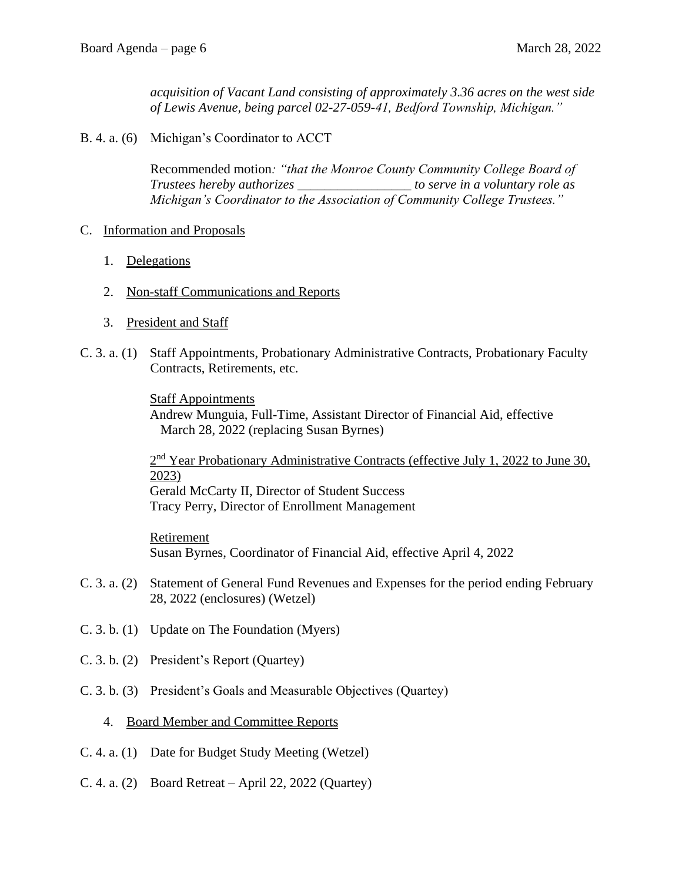*acquisition of Vacant Land consisting of approximately 3.36 acres on the west side of Lewis Avenue, being parcel 02-27-059-41, Bedford Township, Michigan."*

B. 4. a. (6) Michigan's Coordinator to ACCT

Recommended motion*: "that the Monroe County Community College Board of Trustees hereby authorizes \_\_\_\_\_\_\_\_\_\_\_\_\_\_\_\_\_ to serve in a voluntary role as Michigan's Coordinator to the Association of Community College Trustees."* 

- C. Information and Proposals
	- 1. Delegations
	- 2. Non-staff Communications and Reports
	- 3. President and Staff
- C. 3. a. (1) Staff Appointments, Probationary Administrative Contracts, Probationary Faculty Contracts, Retirements, etc.

Staff Appointments Andrew Munguia, Full-Time, Assistant Director of Financial Aid, effective March 28, 2022 (replacing Susan Byrnes)

2<sup>nd</sup> Year Probationary Administrative Contracts (effective July 1, 2022 to June 30, 2023) Gerald McCarty II, Director of Student Success Tracy Perry, Director of Enrollment Management

Retirement Susan Byrnes, Coordinator of Financial Aid, effective April 4, 2022

- C. 3. a. (2) Statement of General Fund Revenues and Expenses for the period ending February 28, 2022 (enclosures) (Wetzel)
- C. 3. b. (1) Update on The Foundation (Myers)
- C. 3. b. (2) President's Report (Quartey)
- C. 3. b. (3) President's Goals and Measurable Objectives (Quartey)

## 4. Board Member and Committee Reports

- C. 4. a. (1) Date for Budget Study Meeting (Wetzel)
- C. 4. a. (2) Board Retreat April 22, 2022 (Quartey)